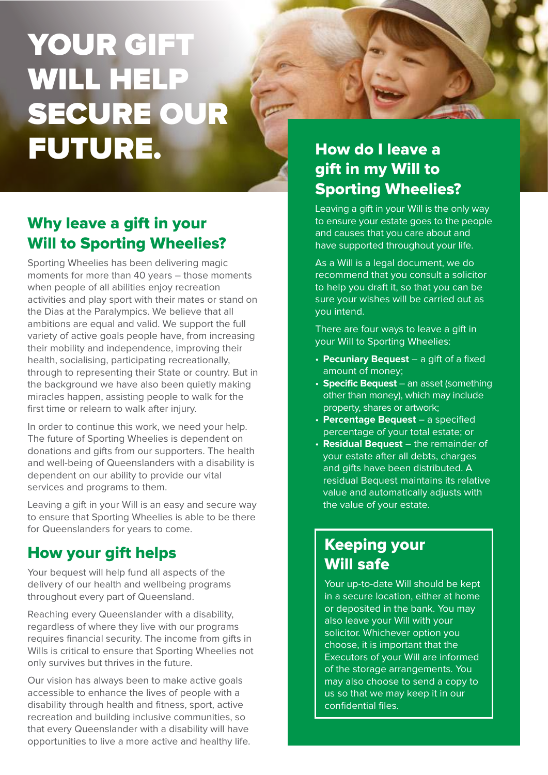## YOUR GIFT WILL HELP SECURE OUR FUTURE. How do I leave a

## Why leave a gift in your Will to Sporting Wheelies?

Sporting Wheelies has been delivering magic moments for more than 40 years – those moments when people of all abilities enjoy recreation activities and play sport with their mates or stand on the Dias at the Paralympics. We believe that all ambitions are equal and valid. We support the full variety of active goals people have, from increasing their mobility and independence, improving their health, socialising, participating recreationally, through to representing their State or country. But in the background we have also been quietly making miracles happen, assisting people to walk for the first time or relearn to walk after injury.

In order to continue this work, we need your help. The future of Sporting Wheelies is dependent on donations and gifts from our supporters. The health and well-being of Queenslanders with a disability is dependent on our ability to provide our vital services and programs to them.

Leaving a gift in your Will is an easy and secure way to ensure that Sporting Wheelies is able to be there for Queenslanders for years to come.

### How your gift helps

Your bequest will help fund all aspects of the delivery of our health and wellbeing programs throughout every part of Queensland.

Reaching every Queenslander with a disability, regardless of where they live with our programs requires financial security. The income from gifts in Wills is critical to ensure that Sporting Wheelies not only survives but thrives in the future.

Our vision has always been to make active goals accessible to enhance the lives of people with a disability through health and fitness, sport, active recreation and building inclusive communities, so that every Queenslander with a disability will have opportunities to live a more active and healthy life.

## gift in my Will to Sporting Wheelies?

Leaving a gift in your Will is the only way to ensure your estate goes to the people and causes that you care about and have supported throughout your life.

As a Will is a legal document, we do recommend that you consult a solicitor to help you draft it, so that you can be sure your wishes will be carried out as you intend.

There are four ways to leave a gift in your Will to Sporting Wheelies:

- **Pecuniary Bequest** a gift of a fixed amount of money;
- **Specific Bequest** an asset (something other than money), which may include property, shares or artwork;
- **Percentage Bequest** a specified percentage of your total estate; or
- **Residual Bequest** the remainder of your estate after all debts, charges and gifts have been distributed. A residual Bequest maintains its relative value and automatically adjusts with the value of your estate.

## Keeping your Will safe

Your up-to-date Will should be kept in a secure location, either at home or deposited in the bank. You may also leave your Will with your solicitor. Whichever option you choose, it is important that the Executors of your Will are informed of the storage arrangements. You may also choose to send a copy to us so that we may keep it in our confidential files.